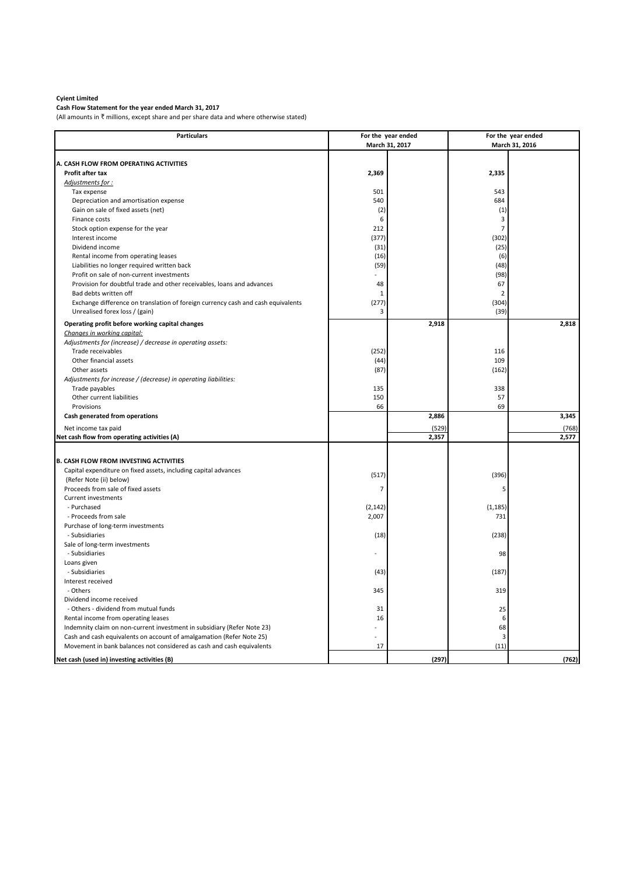## **Cyient Limited**

**Cash Flow Statement for the year ended March 31, 2017**

(All amounts in  $\bar{\tau}$  millions, except share and per share data and where otherwise stated)

| <b>Particulars</b>                                                               |                | For the year ended |                 | For the year ended |  |
|----------------------------------------------------------------------------------|----------------|--------------------|-----------------|--------------------|--|
|                                                                                  | March 31, 2017 |                    |                 | March 31, 2016     |  |
|                                                                                  |                |                    |                 |                    |  |
| A. CASH FLOW FROM OPERATING ACTIVITIES                                           |                |                    |                 |                    |  |
| Profit after tax                                                                 | 2,369          |                    | 2,335           |                    |  |
| Adjustments for:                                                                 |                |                    |                 |                    |  |
| Tax expense                                                                      | 501            |                    | 543             |                    |  |
| Depreciation and amortisation expense                                            | 540            |                    | 684             |                    |  |
| Gain on sale of fixed assets (net)                                               | (2)            |                    | (1)             |                    |  |
| Finance costs                                                                    | 6              |                    | 3               |                    |  |
| Stock option expense for the year                                                | 212            |                    | $\overline{7}$  |                    |  |
| Interest income                                                                  | (377)          |                    | (302)           |                    |  |
| Dividend income                                                                  | (31)           |                    | (25)            |                    |  |
| Rental income from operating leases                                              | (16)           |                    | (6)             |                    |  |
| Liabilities no longer required written back                                      | (59)           |                    | (48)            |                    |  |
| Profit on sale of non-current investments                                        |                |                    | (98)            |                    |  |
| Provision for doubtful trade and other receivables, loans and advances           | 48             |                    | 67              |                    |  |
| Bad debts written off                                                            | $\mathbf{1}$   |                    | $\overline{2}$  |                    |  |
| Exchange difference on translation of foreign currency cash and cash equivalents | (277)          |                    | (304)           |                    |  |
| Unrealised forex loss / (gain)                                                   | 3              |                    | (39)            |                    |  |
| Operating profit before working capital changes                                  |                | 2,918              |                 | 2,818              |  |
| Changes in working capital:                                                      |                |                    |                 |                    |  |
| Adjustments for (increase) / decrease in operating assets:                       |                |                    |                 |                    |  |
| Trade receivables                                                                | (252)          |                    | 116             |                    |  |
| Other financial assets                                                           | (44)           |                    | 109             |                    |  |
| Other assets                                                                     | (87)           |                    | (162)           |                    |  |
| Adjustments for increase / (decrease) in operating liabilities:                  |                |                    |                 |                    |  |
| Trade payables                                                                   | 135            |                    | 338             |                    |  |
| Other current liabilities                                                        | 150            |                    | 57              |                    |  |
| Provisions                                                                       | 66             |                    | 69              |                    |  |
| Cash generated from operations                                                   |                | 2,886              |                 | 3,345              |  |
| Net income tax paid                                                              |                | (529)              |                 | (768)              |  |
| Net cash flow from operating activities (A)                                      |                | 2,357              |                 | 2,577              |  |
|                                                                                  |                |                    |                 |                    |  |
| <b>B. CASH FLOW FROM INVESTING ACTIVITIES</b>                                    |                |                    |                 |                    |  |
| Capital expenditure on fixed assets, including capital advances                  |                |                    |                 |                    |  |
| (Refer Note (ii) below)                                                          | (517)          |                    | (396)           |                    |  |
| Proceeds from sale of fixed assets                                               | $\overline{7}$ |                    | 5               |                    |  |
| <b>Current investments</b>                                                       |                |                    |                 |                    |  |
| - Purchased                                                                      | (2, 142)       |                    |                 |                    |  |
| - Proceeds from sale                                                             | 2,007          |                    | (1, 185)<br>731 |                    |  |
| Purchase of long-term investments                                                |                |                    |                 |                    |  |
| - Subsidiaries                                                                   | (18)           |                    |                 |                    |  |
| Sale of long-term investments                                                    |                |                    | (238)           |                    |  |
| - Subsidiaries                                                                   |                |                    | 98              |                    |  |
| Loans given                                                                      |                |                    |                 |                    |  |
| - Subsidiaries                                                                   | (43)           |                    | (187)           |                    |  |
| Interest received                                                                |                |                    |                 |                    |  |
| - Others                                                                         | 345            |                    |                 |                    |  |
| Dividend income received                                                         |                |                    | 319             |                    |  |
|                                                                                  |                |                    |                 |                    |  |
| - Others - dividend from mutual funds                                            | 31             |                    | 25              |                    |  |
| Rental income from operating leases                                              | 16             |                    | 6<br>68         |                    |  |
| Indemnity claim on non-current investment in subsidiary (Refer Note 23)          |                |                    |                 |                    |  |
| Cash and cash equivalents on account of amalgamation (Refer Note 25)             |                |                    | 3               |                    |  |
| Movement in bank balances not considered as cash and cash equivalents            | 17             |                    | (11)            |                    |  |
| Net cash (used in) investing activities (B)                                      |                | (297)              |                 | (762)              |  |